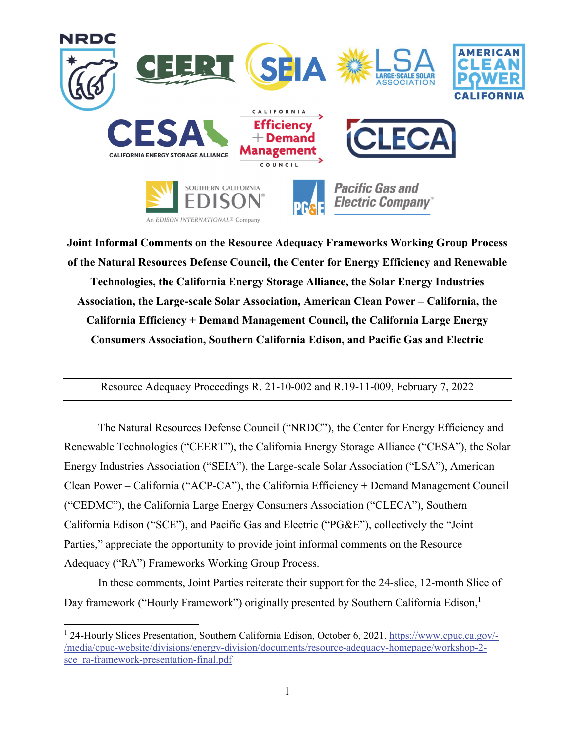

**Joint Informal Comments on the Resource Adequacy Frameworks Working Group Process of the Natural Resources Defense Council, the Center for Energy Efficiency and Renewable Technologies, the California Energy Storage Alliance, the Solar Energy Industries Association, the Large-scale Solar Association, American Clean Power – California, the California Efficiency + Demand Management Council, the California Large Energy Consumers Association, Southern California Edison, and Pacific Gas and Electric** 

Resource Adequacy Proceedings R. 21-10-002 and R.19-11-009, February 7, 2022

 The Natural Resources Defense Council ("NRDC"), the Center for Energy Efficiency and Renewable Technologies ("CEERT"), the California Energy Storage Alliance ("CESA"), the Solar Energy Industries Association ("SEIA"), the Large-scale Solar Association ("LSA"), American Clean Power – California ("ACP-CA"), the California Efficiency + Demand Management Council ("CEDMC"), the California Large Energy Consumers Association ("CLECA"), Southern California Edison ("SCE"), and Pacific Gas and Electric ("PG&E"), collectively the "Joint Parties," appreciate the opportunity to provide joint informal comments on the Resource Adequacy ("RA") Frameworks Working Group Process.

 In these comments, Joint Parties reiterate their support for the 24-slice, 12-month Slice of Day framework ("Hourly Framework") originally presented by Southern California Edison,<sup>1</sup>

<sup>&</sup>lt;sup>1</sup> 24-Hourly Slices Presentation, Southern California Edison, October 6, 2021. https://www.cpuc.ca.gov/-/media/cpuc-website/divisions/energy-division/documents/resource-adequacy-homepage/workshop-2 sce\_ra-framework-presentation-final.pdf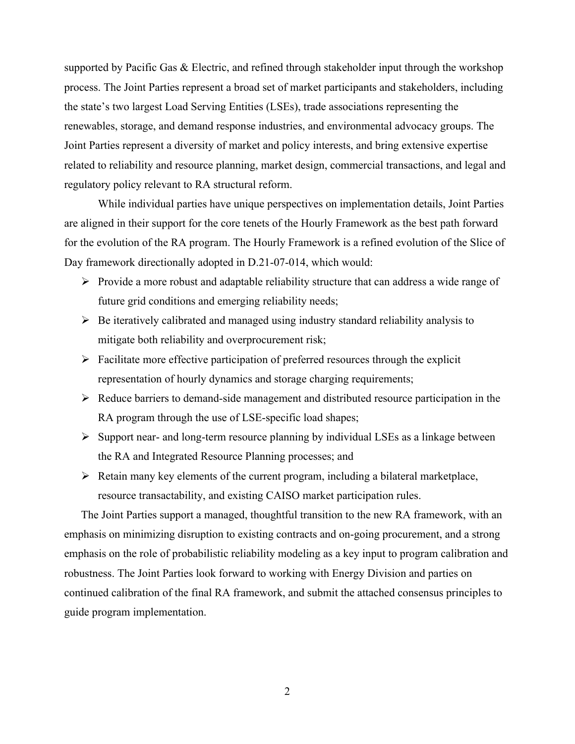supported by Pacific Gas & Electric, and refined through stakeholder input through the workshop process. The Joint Parties represent a broad set of market participants and stakeholders, including the state's two largest Load Serving Entities (LSEs), trade associations representing the renewables, storage, and demand response industries, and environmental advocacy groups. The Joint Parties represent a diversity of market and policy interests, and bring extensive expertise related to reliability and resource planning, market design, commercial transactions, and legal and regulatory policy relevant to RA structural reform.

While individual parties have unique perspectives on implementation details, Joint Parties are aligned in their support for the core tenets of the Hourly Framework as the best path forward for the evolution of the RA program. The Hourly Framework is a refined evolution of the Slice of Day framework directionally adopted in D.21-07-014, which would:

- $\triangleright$  Provide a more robust and adaptable reliability structure that can address a wide range of future grid conditions and emerging reliability needs;
- $\triangleright$  Be iteratively calibrated and managed using industry standard reliability analysis to mitigate both reliability and overprocurement risk;
- $\triangleright$  Facilitate more effective participation of preferred resources through the explicit representation of hourly dynamics and storage charging requirements;
- $\triangleright$  Reduce barriers to demand-side management and distributed resource participation in the RA program through the use of LSE-specific load shapes;
- $\triangleright$  Support near- and long-term resource planning by individual LSEs as a linkage between the RA and Integrated Resource Planning processes; and
- $\triangleright$  Retain many key elements of the current program, including a bilateral marketplace, resource transactability, and existing CAISO market participation rules.

The Joint Parties support a managed, thoughtful transition to the new RA framework, with an emphasis on minimizing disruption to existing contracts and on-going procurement, and a strong emphasis on the role of probabilistic reliability modeling as a key input to program calibration and robustness. The Joint Parties look forward to working with Energy Division and parties on continued calibration of the final RA framework, and submit the attached consensus principles to guide program implementation.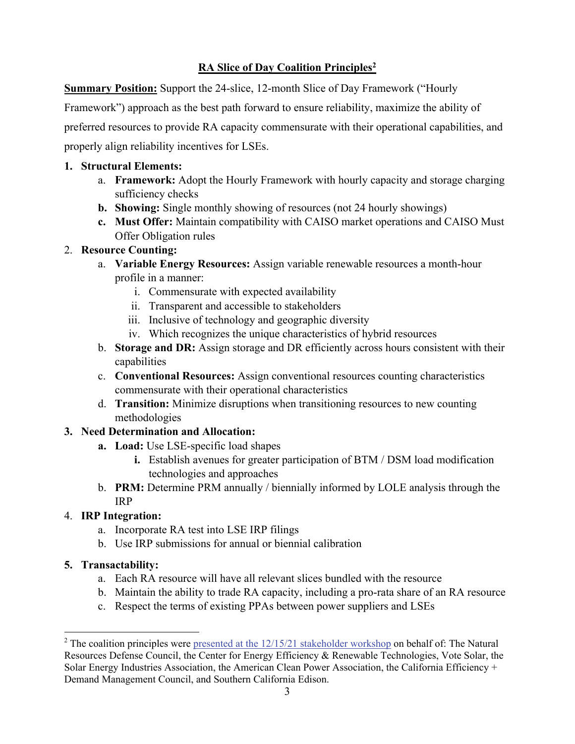#### **RA Slice of Day Coalition Principles2**

**Summary Position:** Support the 24-slice, 12-month Slice of Day Framework ("Hourly

Framework") approach as the best path forward to ensure reliability, maximize the ability of

preferred resources to provide RA capacity commensurate with their operational capabilities, and

properly align reliability incentives for LSEs.

#### **1. Structural Elements:**

- a. **Framework:** Adopt the Hourly Framework with hourly capacity and storage charging sufficiency checks
- **b. Showing:** Single monthly showing of resources (not 24 hourly showings)
- **c. Must Offer:** Maintain compatibility with CAISO market operations and CAISO Must Offer Obligation rules

#### 2. **Resource Counting:**

- a. **Variable Energy Resources:** Assign variable renewable resources a month-hour profile in a manner:
	- i. Commensurate with expected availability
	- ii. Transparent and accessible to stakeholders
	- iii. Inclusive of technology and geographic diversity
	- iv. Which recognizes the unique characteristics of hybrid resources
- b. **Storage and DR:** Assign storage and DR efficiently across hours consistent with their capabilities
- c. **Conventional Resources:** Assign conventional resources counting characteristics commensurate with their operational characteristics
- d. **Transition:** Minimize disruptions when transitioning resources to new counting methodologies

# **3. Need Determination and Allocation:**

- **a. Load:** Use LSE-specific load shapes
	- **i.** Establish avenues for greater participation of BTM / DSM load modification technologies and approaches
- b. **PRM:** Determine PRM annually / biennially informed by LOLE analysis through the IRP

# 4. **IRP Integration:**

- a. Incorporate RA test into LSE IRP filings
- b. Use IRP submissions for annual or biennial calibration

# **5. Transactability:**

- a. Each RA resource will have all relevant slices bundled with the resource
- b. Maintain the ability to trade RA capacity, including a pro-rata share of an RA resource
- c. Respect the terms of existing PPAs between power suppliers and LSEs

<sup>&</sup>lt;sup>2</sup> The coalition principles were presented at the  $12/15/21$  stakeholder workshop on behalf of: The Natural Resources Defense Council, the Center for Energy Efficiency & Renewable Technologies, Vote Solar, the Solar Energy Industries Association, the American Clean Power Association, the California Efficiency + Demand Management Council, and Southern California Edison.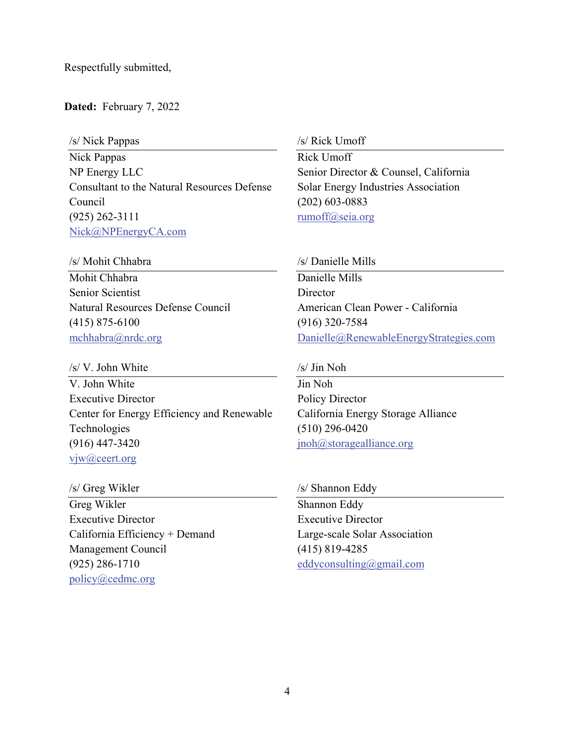Respectfully submitted,

**Dated:** February 7, 2022

/s/ Nick Pappas

Nick Pappas NP Energy LLC Consultant to the Natural Resources Defense Council (925) 262-3111 Nick@NPEnergyCA.com

/s/ Mohit Chhabra

Mohit Chhabra Senior Scientist Natural Resources Defense Council (415) 875-6100 mchhabra@nrdc.org

/s/ V. John White

V. John White Executive Director Center for Energy Efficiency and Renewable Technologies (916) 447-3420 vjw@ceert.org

/s/ Greg Wikler

Greg Wikler Executive Director California Efficiency + Demand Management Council (925) 286-1710 policy@cedmc.org

/s/ Rick Umoff

Rick Umoff Senior Director & Counsel, California Solar Energy Industries Association (202) 603-0883 rumoff@seia.org

/s/ Danielle Mills

Danielle Mills **Director** American Clean Power - California (916) 320-7584 Danielle@RenewableEnergyStrategies.com

/s/ Jin Noh

Jin Noh Policy Director California Energy Storage Alliance (510) 296-0420 jnoh@storagealliance.org

/s/ Shannon Eddy

Shannon Eddy Executive Director Large-scale Solar Association (415) 819-4285 eddyconsulting@gmail.com